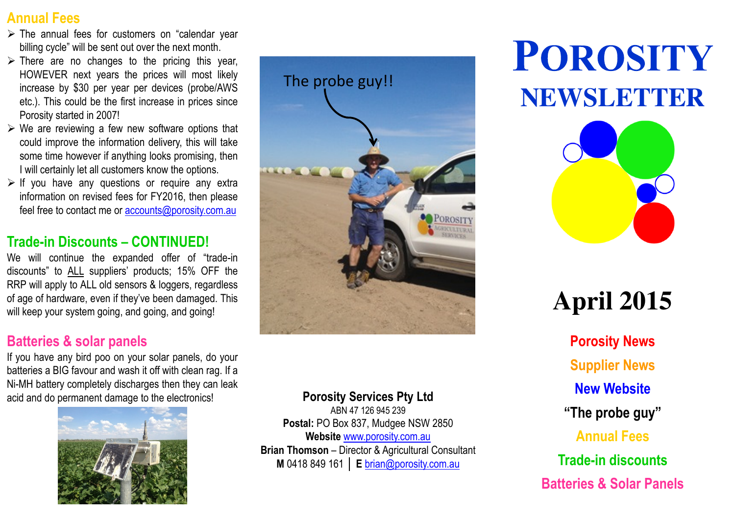### Annual Fees

- $\triangleright$  The annual fees for customers on "calendar year billing cycle" will be sent out over the next month.
- $\triangleright$  There are no changes to the pricing this year, HOWEVER next years the prices will most likely increase by \$30 per year per devices (probe/AWS etc.). This could be the first increase in prices sincePorosity started in 2007!
- $\triangleright$  We are reviewing a few new software options that  $\cdot$ could improve the information delivery, this will take some time however if anything looks promising, thenI will certainly let all customers know the options.
- $\triangleright$  If you have any questions or require any extra<br>information on revised face for EX2016, then alone information on revised fees for FY2016, then pleasefeel free to contact me or <u>accounts@porosity.com.au</u>

### Trade-in Discounts – CONTINUED!

We will continue the expanded offer of "trade-in discounts" to <u>ALL</u> suppliers' products; 15% OFF the RRP will apply to ALL old sensors & loggers, regardless of age of hardware, even if they've been damaged. Thiswill keep your system going, and going, and going!

### Batteries & solar panels

 If you have any bird poo on your solar panels, do your batteries <sup>a</sup> BIG favour and wash it off with clean rag. If <sup>a</sup> Ni-MH battery completely discharges then they can leakacid and do permanent damage to the electronics! **Porosity Services Pty Ltd** 





ABN 47 126 945 239Postal: PO Box 837, Mudgee NSW 2850 **Website** <u>www.porosity.com.au</u> Brian Thomson – Director & Agricultural Consultant M 0418 849 161 │ E <u>brian@porosity.com.au</u>

# POROSITY **NEWSLETTER**



## **April 2015**

Porosity NewsSupplier NewsNew Website"The probe guy"Annual FeesTrade-in discountsBatteries & Solar Panels